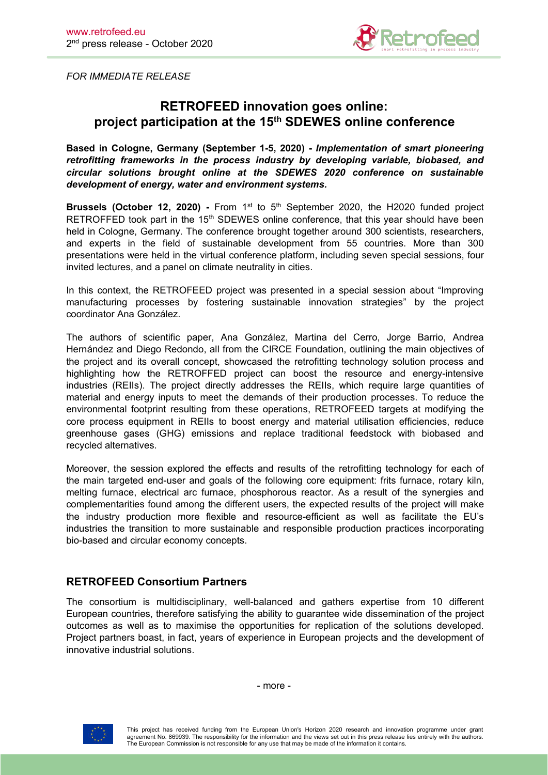

*FOR IMMEDIATE RELEASE*

# **RETROFEED innovation goes online: project participation at the 15 th SDEWES online conference**

**Based in Cologne, Germany (September 1-5,2020) -** *Implementation of smart pioneering retrofitting frameworks in the process industry by developing variable, biobased, and circular solutions brought online at the SDEWES 2020 conference on sustainable development of energy, water and environment systems.*

**Brussels (October 12, 2020) -** From 1<sup>st</sup> to 5<sup>th</sup> September 2020, the H2020 funded project RETROFFED took part in the 15<sup>th</sup> SDEWES online conference, that this year should have been held in Cologne, Germany. The conference brought together around 300 scientists, researchers, and experts in the field of sustainable development from 55 countries. More than 300 presentations were held in the virtual conference platform, including seven special sessions, four invited lectures, and a panel on climate neutrality in cities.

In this context, the RETROFEED project was presented in a special session about "Improving manufacturing processes by fostering sustainable innovation strategies" by the project coordinator Ana González.

The authors of scientific paper, Ana González, Martina del Cerro, Jorge Barrio, Andrea Hernández and Diego Redondo, all from the CIRCE Foundation, outlining the main objectives of the project and its overall concept, showcased the retrofitting technology solution process and highlighting how the RETROFFED project can boost the resource and energy-intensive industries (REIIs). The project directly addresses the REIIs, which require large quantities of material and energy inputs to meet the demands of their production processes.To reduce the environmental footprint resulting from these operations, RETROFEED targets at modifying the core process equipment in REIIs to boost energy and material utilisation efficiencies, reduce greenhouse gases (GHG) emissions and replace traditional feedstock with biobased and recycled alternatives.

Moreover, the session explored the effects and results of the retrofitting technology for each of the main targeted end-user and goals of the following core equipment: frits furnace, rotary kiln, melting furnace, electrical arc furnace, phosphorous reactor. As a result of the synergies and complementarities found among the different users, the expected results of the project will make the industry production more flexible and resource-efficient as well as facilitate the EU's industries the transition to more sustainable and responsible production practices incorporating bio-based and circular economy concepts.

## **RETROFEED Consortium Partners**

The consortium is multidisciplinary, well-balanced and gathers expertise from 10 different European countries, therefore satisfying the ability to guarantee wide dissemination of the project outcomes as well as to maximise the opportunities for replication of the solutions developed. Project partners boast, in fact, years of experience in European projects and the development of innovative industrial solutions.

- more -